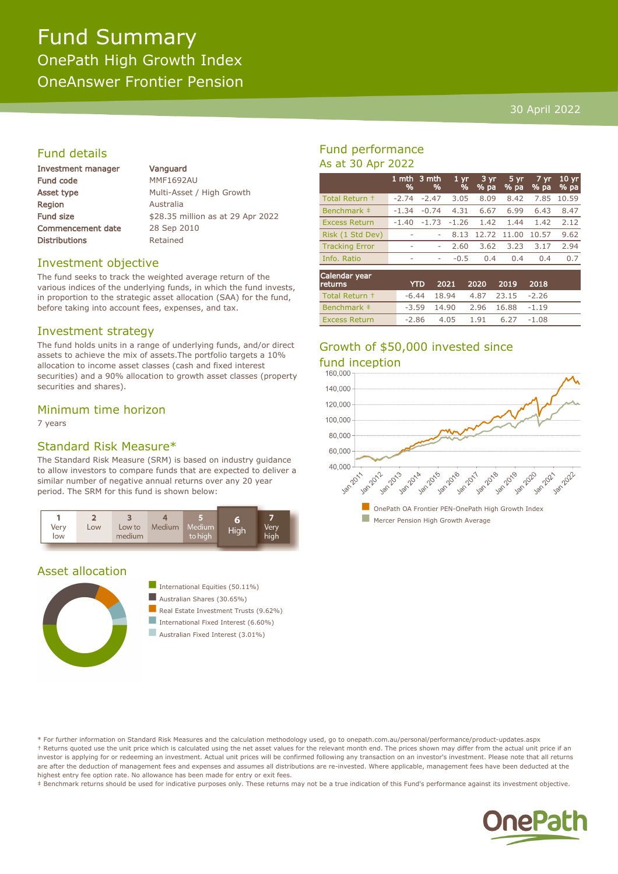# Fund Summary OnePath High Growth Index OneAnswer Frontier Pension

#### 30 April 2022

### Fund details

| <b>Investment manager</b> | Vanguard                          |
|---------------------------|-----------------------------------|
| <b>Fund code</b>          | <b>MMF1692AU</b>                  |
| Asset type                | Multi-Asset / High Growth         |
| <b>Region</b>             | Australia                         |
| Fund size                 | \$28.35 million as at 29 Apr 2022 |
| <b>Commencement date</b>  | 28 Sep 2010                       |
| <b>Distributions</b>      | Retained                          |
|                           |                                   |

#### Investment objective

The fund seeks to track the weighted average return of the various indices of the underlying funds, in which the fund invests, in proportion to the strategic asset allocation (SAA) for the fund, before taking into account fees, expenses, and tax.

#### Investment strategy

The fund holds units in a range of underlying funds, and/or direct assets to achieve the mix of assets.The portfolio targets a 10% allocation to income asset classes (cash and fixed interest securities) and a 90% allocation to growth asset classes (property securities and shares).

#### Minimum time horizon

7 years

### Standard Risk Measure\*

The Standard Risk Measure (SRM) is based on industry guidance to allow investors to compare funds that are expected to deliver a similar number of negative annual returns over any 20 year period. The SRM for this fund is shown below:



#### Asset allocation



International Equities  $(50.11\%)$ Australian Shares (30.65%) Real Estate Investment Trusts (9.62%) International Fixed Interest  $(6.60\%)$ 

Australian Fixed Interest (3.01%)

### Fund performance As at 30 Apr 2022

|                       | %                        | 1 mth 3 mth<br>% | 1 <sub>vr</sub><br>% | 3 yr<br>% pa | 5 yr<br>% pa | 7 yr<br>% pa | 10 <sub>yr</sub><br>% pa |
|-----------------------|--------------------------|------------------|----------------------|--------------|--------------|--------------|--------------------------|
| Total Return +        | $-2.74$                  | $-2.47$          | 3.05                 | 8.09         | 8.42         | 7.85         | 10.59                    |
| Benchmark #           | $-1.34$                  | $-0.74$          | 4.31                 | 6.67         | 6.99         | 6.43         | 8.47                     |
| <b>Excess Return</b>  | $-1.40$                  | $-1.73$          | $-1.26$              | 1.42         | 1.44         | 1.42         | 2.12                     |
| Risk (1 Std Dev)      | $\overline{\phantom{a}}$ |                  | 8.13                 | 12.72        | 11.00        | 10.57        | 9.62                     |
| <b>Tracking Error</b> | ۰                        | ۰                | 2.60                 | 3.62         | 3.23         | 3.17         | 2.94                     |
| Info. Ratio           | ۰                        | ۰                | $-0.5$               | 0.4          | 0.4          | 0.4          | 0.7                      |
| Calondar voor         |                          |                  |                      |              |              |              |                          |

| Calendar year<br><b>returns</b> | <b>YTD</b> |                                  | 2021 2020 2019 2018 |         |  |
|---------------------------------|------------|----------------------------------|---------------------|---------|--|
| Total Return +                  |            | $-6.44$ 18.94 4.87 23.15 $-2.26$ |                     |         |  |
| Benchmark #                     |            | $-3.59$ 14.90 2.96 16.88         |                     | $-1.19$ |  |
| <b>Excess Return</b>            |            | $-2.86$ $4.05$ $1.91$ $6.27$     |                     | -1.08   |  |

## Growth of \$50,000 invested since fund inception



\* For further information on Standard Risk Measures and the calculation methodology used, go to onepath.com.au/personal/performance/product-updates.aspx † Returns quoted use the unit price which is calculated using the net asset values for the relevant month end. The prices shown may differ from the actual unit price if an investor is applying for or redeeming an investment. Actual unit prices will be confirmed following any transaction on an investor's investment. Please note that all returns are after the deduction of management fees and expenses and assumes all distributions are re-invested. Where applicable, management fees have been deducted at the highest entry fee option rate. No allowance has been made for entry or exit fees.

‡ Benchmark returns should be used for indicative purposes only. These returns may not be a true indication of this Fund's performance against its investment objective.